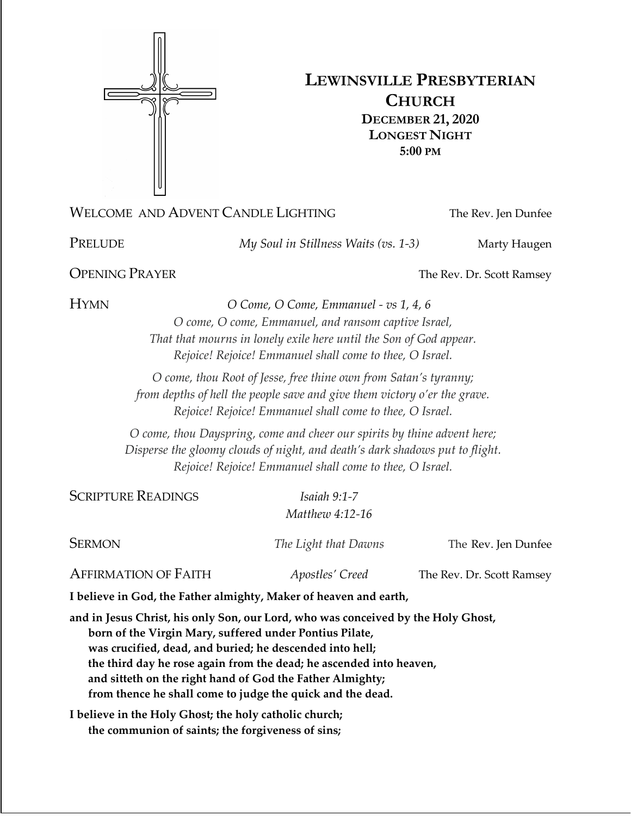

# **LEWINSVILLE PRESBYTERIAN CHURCH DECEMBER 21, 2020 LONGEST NIGHT 5:00 PM**

## WELCOME AND ADVENT CANDLE LIGHTING The Rev. Jen Dunfee

PRELUDE *My Soul in Stillness Waits (vs. 1-3)* Marty Haugen

**OPENING PRAYER** The Rev. Dr. Scott Ramsey

HYMN *O Come, O Come, Emmanuel - vs 1, 4, 6*

*O come, O come, Emmanuel, and ransom captive Israel, That that mourns in lonely exile here until the Son of God appear. Rejoice! Rejoice! Emmanuel shall come to thee, O Israel.*

*O come, thou Root of Jesse, free thine own from Satan's tyranny; from depths of hell the people save and give them victory o'er the grave. Rejoice! Rejoice! Emmanuel shall come to thee, O Israel.*

*O come, thou Dayspring, come and cheer our spirits by thine advent here; Disperse the gloomy clouds of night, and death's dark shadows put to flight. Rejoice! Rejoice! Emmanuel shall come to thee, O Israel.*

SCRIPTURE READINGS *Isaiah 9:1-7*

*Matthew 4:12-16*

SERMON *The Light that Dawns* The Rev. Jen Dunfee

AFFIRMATION OF FAITH *Apostles' Creed* The Rev. Dr. Scott Ramsey

**I believe in God, the Father almighty, Maker of heaven and earth,**

**and in Jesus Christ, his only Son, our Lord, who was conceived by the Holy Ghost, born of the Virgin Mary, suffered under Pontius Pilate, was crucified, dead, and buried; he descended into hell; the third day he rose again from the dead; he ascended into heaven, and sitteth on the right hand of God the Father Almighty; from thence he shall come to judge the quick and the dead.**

**I believe in the Holy Ghost; the holy catholic church; the communion of saints; the forgiveness of sins;**